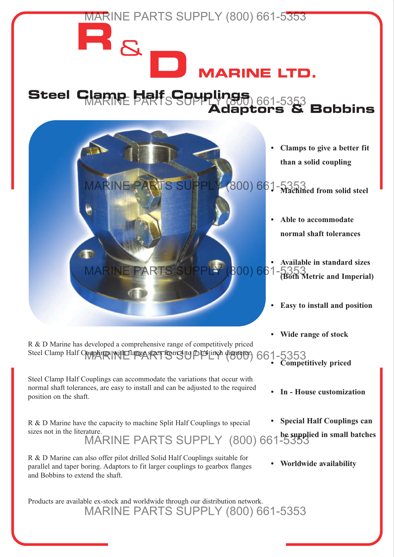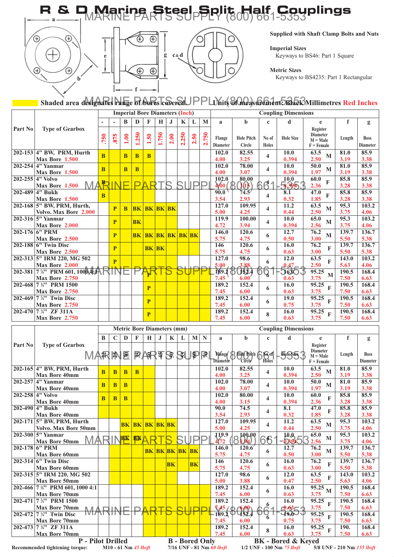



**e**



Ő C **Supplied with Shaft Clamp Bolts and Nuts**

**Imperial Sizes** Keyways to BS46: Part 1 Square

**Metric Sizes**

Keyways to BS4235: Part 1 Rectangular

## Shaded area d**esignates Panye of AoPesTcSer&U**PPLYnit**(&Measurement: Black**Millimetres Red Inches

|         |                                                              | <b>Imperial Bore Diameters (Inch)</b> |                         |              |                                   |                       |             |      |          |      |          | <b>Coupling Dimensions</b> |                                |                         |                              |                                                           |               |                                |
|---------|--------------------------------------------------------------|---------------------------------------|-------------------------|--------------|-----------------------------------|-----------------------|-------------|------|----------|------|----------|----------------------------|--------------------------------|-------------------------|------------------------------|-----------------------------------------------------------|---------------|--------------------------------|
|         |                                                              |                                       |                         | B            | D                                 | F                     | $\mathbf H$ | J    | K        | L    | M        | a                          | $\mathbf b$                    | $\mathbf{c}$            | d                            | e                                                         | f             | g                              |
| Part No | <b>Type of Gearbox</b>                                       | .750                                  | .875                    | 1.00         | 1.250                             | 1.50                  | 1.750       | 2.00 | 250<br>Ñ | 2.50 | 750<br>N | Flange<br><b>Diameter</b>  | <b>Hole Pitch</b><br>Circle    | No of<br><b>Holes</b>   | <b>Hole Size</b>             | Register<br><b>Diameter</b><br>$M = Male$<br>$F =$ Female | Length        | <b>Boss</b><br><b>Diameter</b> |
|         | 202-153 4" BW, PRM, Hurth<br>Max Bore 1.500                  | <sub>B</sub>                          |                         | <sub>B</sub> | <sub>B</sub>                      | B                     |             |      |          |      |          | 102.0<br>4.00              | 82.55<br>3.25                  | 4                       | 10.0<br>0.394                | 63.5<br>$\mathbf{M}$<br>2.50                              | 81.0<br>3.19  | 85.9<br>3.38                   |
|         | 202-254 4" Yanmar<br>Max Bore 1.500                          | <sub>B</sub>                          |                         | <sub>B</sub> | <sub>B</sub>                      |                       |             |      |          |      |          | 102.0<br>4.00              | 78.00<br>3.07                  | 4                       | 10.0<br>0.394                | 50.0<br>M<br>1.97                                         | 81.0<br>3.19  | 85.9<br>3.38                   |
|         | 202-255 4" Volvo<br>MA<br>Max Bore 1.500                     | F                                     |                         |              | D                                 |                       |             |      |          |      |          | 102.0<br>4,60(             | 80.00<br>(3(15))               | 61                      | 10.0<br>5395.                | 60.0<br>$\mathbf{F}$<br>2.36                              | 85.8<br>3.28  | 85.9<br>3.38                   |
| 202-489 | 4" Bukh<br>Max Bore 1.500                                    | B                                     |                         |              |                                   |                       |             |      |          |      |          | 90.0<br>3.54               | 74.5'<br>2.93                  | $\overline{\mathbf{4}}$ | $\overline{\bf 8.1}$<br>0.32 | 47.0<br>F<br>1.85                                         | 85.8<br>3.28  | 85.9<br>3.38                   |
|         | 202-168 5" BW, PRM, Hurth,<br>Volvo. Max Bore 2.000          |                                       | P                       | <sub>B</sub> | <b>BK</b>                         | <b>BK BK BK</b>       |             |      |          |      |          | 127.0<br>5.00              | 109.95<br>4.25                 | 4                       | 11.2<br>0.44                 | 63.5<br>M<br>2.50                                         | 95.3<br>3.75  | 103.2<br>4.06                  |
|         | 202-316 5" Yanmar<br>Max Bore 2.000                          |                                       | P                       |              | <b>BK</b>                         |                       |             |      |          |      |          | 119.9<br>4.72              | 100.00<br>3.94                 | $\overline{\mathbf{4}}$ | 10.0<br>0.394                | 65.0<br>M<br>2.56                                         | 95.3<br>3.75  | 103.2<br>4.06                  |
|         | 202-176 6" PRM<br>Max Bore 2.500                             |                                       | $\overline{\mathbf{P}}$ |              | <b>BK</b>                         | <b>BK BK BK BK BK</b> |             |      |          |      |          | 146.0<br>5.75              | 120.6<br>4.75                  | 6                       | 12.7<br>0.50                 | 76.2<br>M<br>3.00                                         | 139.7<br>5.50 | 136.7<br>5.38                  |
|         | $202 - 188$ 6" Twin Disc<br>Max Bore 2.500                   |                                       | P                       |              |                                   | <b>BK BK</b>          |             |      |          |      |          | 146<br>5.75                | 120.6<br>4.75                  | 6                       | 16.0<br>0.63                 | 76.2<br>$\mathbf{F}$<br>3.00                              | 139.7<br>5.50 | 136.7<br>5.38                  |
|         | 202-313 5" IRM 220, MG 502<br>Max Bore 2.000                 |                                       | $\overline{\mathbf{p}}$ |              |                                   |                       |             |      |          |      |          | 127.0<br>5.00              | 98.6<br>3.88                   | 6                       | 12.0<br>$0.47 -$             | 63.5<br>$\mathbf F$<br>2.50                               | 143.0<br>5.63 | 103.2<br>4.06                  |
|         | 202-381 7 4" PRM 601, 1000 4: A<br><b>Max Bore 2.750</b>     |                                       |                         |              |                                   |                       |             |      |          |      |          | 189.2<br>7.45              | <b>JEJ.4</b><br>$6.00^{\circ}$ | पू                      | ၁တင<br>0.63                  | 95.25<br>M<br>3.75                                        | 190.5<br>7.50 | 168.4<br>6.63                  |
|         | 202-468 7 1/4" PRM 1500<br><b>Max Bore 2.750</b>             |                                       |                         |              |                                   | P                     |             |      |          |      |          | 189.2<br>7.45              | 152.4<br>6.00                  | 6                       | 16.0<br>0.63                 | 95.25<br>$\mathbf{F}$<br>3.75                             | 190.5<br>7.50 | 168.4<br>6.63                  |
|         | 202-469 7 $\frac{1}{4}$ " Twin Disc<br><b>Max Bore 2.750</b> |                                       |                         |              |                                   | P                     |             |      |          |      |          | 189.2<br>7.45              | 152.4<br>6.00                  | 6                       | 19.0<br>0.75                 | 95.25<br>$\mathbf{F}$<br>3.75                             | 190.5<br>7.50 | 168.4<br>6.63                  |
|         | 202-470 7 1/4" ZF 311A<br><b>Max Bore 2.750</b>              |                                       |                         |              |                                   | P                     |             |      |          |      |          | 189.2<br>7.45              | 152.4<br>6.00                  | 8                       | 16.0<br>0.63                 | 95.25<br>$\mathbf F$<br>3.75                              | 190.5<br>7.50 | 168.4<br>6.63                  |
|         |                                                              |                                       |                         |              | <b>Metric Bore Diameters (mm)</b> |                       |             |      |          |      |          | <b>Coupling Dimensions</b> |                                |                         |                              |                                                           |               |                                |
|         |                                                              |                                       |                         |              |                                   |                       |             |      |          |      |          |                            |                                |                         |                              |                                                           |               |                                |

|         |                                                                                         |                         |              |               |             | <b>NETTLE DUTE DIAMETELS (MINI)</b> |            |             |                       |           |                                 |                            |                             |               | Coupling Dimensions       |                       |        |                 |  |  |  |
|---------|-----------------------------------------------------------------------------------------|-------------------------|--------------|---------------|-------------|-------------------------------------|------------|-------------|-----------------------|-----------|---------------------------------|----------------------------|-----------------------------|---------------|---------------------------|-----------------------|--------|-----------------|--|--|--|
|         |                                                                                         | B                       | $\mathbf C$  | D             | $\mathbf F$ | H                                   | J.         | $\mathbf K$ |                       | M         | N                               | $\mathbf{a}$               | b                           | $\mathbf c$   | d                         | e                     | f      | g               |  |  |  |
| Part No | <b>Type of Gearbox</b>                                                                  |                         |              |               |             |                                     |            |             |                       |           |                                 |                            |                             |               |                           | Register              |        |                 |  |  |  |
|         |                                                                                         |                         |              |               |             |                                     |            |             |                       |           | $\mathbb{R}$                    | <b>Flange</b>              | Hole Pitch                  |               |                           | <b>Diameter</b>       | Length | <b>Boss</b>     |  |  |  |
|         | <i>NA</i> RM                                                                            |                         |              | 30            |             | 日本                                  | <b>175</b> |             | SUP                   |           |                                 | Diāmeter`                  | Circle                      | ेि™ी<br>Holes | 馬95                       | $M = Male$            |        | <b>Diameter</b> |  |  |  |
|         |                                                                                         |                         |              |               |             |                                     |            |             |                       |           |                                 |                            |                             |               |                           | $F =$ Female          |        |                 |  |  |  |
|         | 202-165 4" BW, PRM, Hurth                                                               | $\overline{\mathbf{B}}$ | <sub>B</sub> | B             | B           |                                     |            |             |                       |           |                                 | 102.0                      | 82.55                       | 4             | 10.0                      | 63.5<br>M             | 81.0   | 85.9            |  |  |  |
|         | <b>Max Bore 40mm</b>                                                                    |                         |              |               |             |                                     |            |             |                       |           |                                 | 4.00                       | 3.25                        |               | 0.394                     | 2.50                  | 3.19   | 3.38            |  |  |  |
|         | 202-257 4" Yanmar                                                                       | $\overline{\mathbf{B}}$ | <sub>B</sub> | B             |             |                                     |            |             |                       |           |                                 | 102.0                      | 78.00                       | 4             | 10.0                      | 50.0<br>M             | 81.0   | 85.9            |  |  |  |
|         | <b>Max Bore 40mm</b>                                                                    |                         |              |               |             |                                     |            |             |                       |           |                                 | 4.00                       | 3.07                        |               | 0.394                     | 1.97                  | 3.19   | 3.38            |  |  |  |
|         | 202-258 4" Volvo                                                                        | B                       | <sub>B</sub> | B             |             |                                     |            |             |                       |           |                                 | 102.0                      | 80.00                       | 4             | 10.0                      | 60.0<br>F             | 85.8   | 85.9            |  |  |  |
|         | <b>Max Bore 40mm</b>                                                                    |                         |              |               |             |                                     |            |             |                       |           |                                 | 4.00                       | 3.15                        |               | 0.394                     | 2.36                  | 3.28   | 3.38            |  |  |  |
|         | 202-490 4" Bukh                                                                         |                         |              |               |             |                                     |            |             |                       |           |                                 | 90.0                       | 74.5                        | 4             | 8.1                       | 47.0<br>$\mathbf{F}$  | 85.8   | 85.9            |  |  |  |
|         | <b>Max Bore 40mm</b>                                                                    |                         |              |               |             |                                     |            |             |                       |           |                                 | 3.54                       | 2.93                        |               | 0.32                      | 1.85                  | 3.28   | 3.38            |  |  |  |
|         | 202-171 5" BW, PRM, Hurth                                                               |                         |              | <b>BK</b>     | <b>BK</b>   | <b>BK BK BK</b>                     |            |             |                       |           |                                 | 127.0                      | 109.95                      | 4             | 11.2                      | 63.5<br>M             | 95.3   | 103.2           |  |  |  |
|         | <b>Volvo. Max Bore 50mm</b>                                                             |                         |              |               |             |                                     |            |             |                       |           |                                 | 5.00                       | 4.25                        |               | 0.44                      | 2.50                  | 3.75   | 4.06            |  |  |  |
|         | 202-300 5" Yanmar                                                                       |                         |              |               |             |                                     |            |             |                       |           |                                 |                            |                             |               | 10.0                      | 65.0                  | 95.3   | 103.2           |  |  |  |
|         | <b>MAR</b><br>Max Bore 50mm                                                             |                         |              | $\frac{1}{2}$ | <b>BK</b>   |                                     |            |             |                       |           |                                 | $\frac{119.9}{4.72}$       | $\frac{100.00}{3.94}$<br>18 | 66            | $-6895$                   | M<br>2.56             | 3.75   | 4.06            |  |  |  |
|         | 202-178 6" PRM                                                                          |                         |              |               |             |                                     |            |             | <b>BK BK BK BK BK</b> |           |                                 | 146.0                      | 120.6'                      | 6             | 12.7                      | 76.2<br>M             | 139.7  | 136.7           |  |  |  |
|         | <b>Max Bore 60mm</b>                                                                    |                         |              |               |             |                                     |            |             |                       |           |                                 | 5.75                       | 4.75                        |               | 0.50                      | 3.00                  | 5.50   | 5.38            |  |  |  |
|         | $202 - 314$ 6" Twin Disc                                                                |                         |              |               |             |                                     |            | BK          |                       | <b>BK</b> |                                 | 146                        | 120.6                       | 6             | 16.0                      | 76.2<br>$\mathbf{F}$  | 139.7  | 136.7           |  |  |  |
|         | <b>Max Bore 60mm</b>                                                                    |                         |              |               |             |                                     |            |             |                       |           |                                 | 5.75                       | 4.75                        |               | 0.63                      | 3.00                  | 5.50   | 5.38            |  |  |  |
|         | 202-315 5" IRM 220, MG 502                                                              |                         |              |               |             |                                     |            |             |                       |           |                                 | 127.0                      | 98.6                        |               | 12.0                      | 63.5                  | 143.0  | 103.2           |  |  |  |
|         | <b>Max Bore 50mm</b>                                                                    |                         |              |               |             |                                     |            |             |                       |           |                                 | 5.00                       | 3.88                        | 6             | 0.47                      | 2.50                  | 5.63   | 4.06            |  |  |  |
|         | 202-466 7 1/4" PRM 601, 1000 4:1                                                        |                         |              |               |             |                                     |            |             |                       |           |                                 | 189.2                      | 152.4                       |               | 16.0                      | $\frac{1}{95.25}$ M   | 190.5  | 168.4           |  |  |  |
|         | <b>Max Bore 70mm</b>                                                                    |                         |              |               |             |                                     |            |             |                       |           |                                 | 7.45                       | 6.00                        | 6             | 0.63                      | 3.75                  | 7.50   | 6.63            |  |  |  |
| 202-471 | 7 %" PRM 1500                                                                           |                         |              |               |             |                                     |            |             |                       |           |                                 | 189.2                      | 152.4                       |               | 16.0                      | 95.25<br>$\mathbf{F}$ | 190.5  | 168.4           |  |  |  |
|         | <b>Max Bore 70mm</b>                                                                    |                         | $\Box$ IN    |               | D           |                                     | ┱          |             |                       |           |                                 | 7.45/                      | 600<br>ന                    | 6<br>ń        | ∄არ3⊫ ტ                   | 3.75                  | 7.50   | 6.63            |  |  |  |
|         | IVIA<br>202-472 7 1/4" Twin Disc                                                        |                         |              |               |             |                                     |            |             |                       |           |                                 | -189.2                     | 452.4                       |               | ज9क्र∪                    | 95.25<br>$\mathbf{F}$ | 190.5  | 168.4           |  |  |  |
|         | <b>Max Bore 70mm</b>                                                                    |                         |              |               |             |                                     |            |             |                       |           |                                 | 7.45                       | 6.00                        | 6             | 0.75                      | 3.75                  | 7.50   | 6.63            |  |  |  |
|         | 202-473 7 4" ZF 311A                                                                    |                         |              |               |             |                                     |            |             |                       |           |                                 | 189.2                      | 152.4                       | 8             | 16.0                      | 95.25<br>F            | 190.   | 168.4           |  |  |  |
|         | <b>Max Bore 70mm</b>                                                                    |                         |              |               |             |                                     |            |             |                       |           |                                 | 7.45                       | 6.00                        |               | 0.63                      | 3.75                  | 7.50   | 6.63            |  |  |  |
|         | <b>P</b> - Pilot Drilled                                                                |                         |              |               |             |                                     |            |             | <b>B</b> - Bored Only |           |                                 |                            |                             |               | <b>BK</b> - Bored & Keyed |                       |        |                 |  |  |  |
|         | 7/16 UNF - 81 Nm 60 lbsft<br>Recommended tightening torque:<br>$M10 - 61$ Nm $45$ lbsft |                         |              |               |             |                                     |            |             |                       |           | $1/2$ UNF - $100$ Nm $75$ lbsft | 5/8 UNF - 210 Nm 155 lbsft |                             |               |                           |                       |        |                 |  |  |  |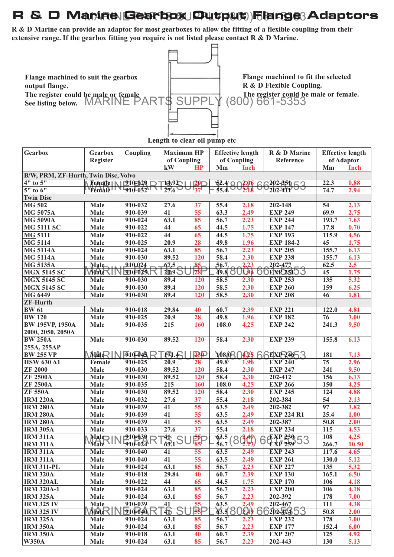## R & D Manine Gearbox Output **Flange Adaptors**

**R & D Marine can provide an adaptor for most gearboxes to allow the fitting of a flexible coupling from their extensive range. If the gearbox fitting you require is not listed please contact R & D Marine.**



| Gearbox                              | Gearbox         | Coupling                                  | <b>Maximum HP</b>     |                 | <b>Effective length</b>                |          | R & D Marine             | <b>Effective length</b> |             |
|--------------------------------------|-----------------|-------------------------------------------|-----------------------|-----------------|----------------------------------------|----------|--------------------------|-------------------------|-------------|
|                                      | <b>Register</b> |                                           | of Coupling           |                 | of Coupling                            |          | Reference                | of Adaptor              |             |
|                                      |                 |                                           | kW                    | HP              | Mm                                     | Inch     |                          | Mm                      | <b>Inch</b> |
| B/W, PRM, ZF-Hurth, Twin Disc, Volvo |                 |                                           |                       |                 |                                        |          |                          |                         |             |
| 4" to 5"                             |                 | Femate   $\sqrt{210}$ =02 $\theta$ $\Box$ | 1492                  | <b>120</b>      | $\frac{52.4}{45.4}802.06$              |          | $202$ -851 $\sqsubset$ 3 | 22.3                    | 0.88        |
| 5" to 6"                             |                 | <b>Female W 510-032</b>                   | 27.6                  | 137             |                                        |          | $202 - 411$              | 74.7                    | 2.94        |
| <b>Twin Disc</b>                     |                 |                                           |                       |                 |                                        |          |                          |                         |             |
| <b>MG 502</b>                        | Male            | 910-032                                   | 27.6                  | 37              | 55.4                                   | 2.18     | 202-148                  | 54                      | 2.13        |
| <b>MG 5075A</b>                      | Male            | 910-039                                   | 41                    | 55              | 63.3                                   | 2.49     | <b>EXP 249</b>           | 69.9                    | 2.75        |
| <b>MG 5090A</b>                      | Male            | 910-024                                   | 63.1                  | 85              | 56.7                                   | 2.23     | <b>EXP 244</b>           | 193.7                   | 7.63        |
| <b>MG 5111 SC</b>                    | Male            | 910-022                                   | 44                    | 65              | 44.5                                   | 1.75     | <b>EXP 147</b>           | 17.8                    | 0.70        |
| <b>MG 5111</b>                       | Male            | 910-022                                   | $\overline{44}$       | 65              | 44.5                                   | 1.75     | <b>EXP 193</b>           | 115.9                   | 4.56        |
| <b>MG 5114</b>                       | Male            | 910-025                                   | 20.9                  | 28              | 49.8                                   | 1.96     | <b>EXP 184-2</b>         | 45                      | 1.75        |
| <b>MG 5114A</b>                      | Male            | 910-024                                   | 63.1                  | 85              | 56.7                                   | 2.23     | <b>EXP 205</b>           | 155.7                   | 6.13        |
| <b>MG 5114A</b>                      | Male            | 910-030                                   | 89.52                 | 120             | 58.4                                   | 2.30     | <b>EXP 238</b>           | 155.7                   | 6.13        |
| <b>MG 5135A</b>                      | Male            | $-910-024$                                | 67,5                  | 85 <sub>r</sub> | 56.7                                   | 2,23     | $202 - 477$              | 62.5                    | 2.5         |
| <b>MGX 5145 SC</b>                   | $\text{Wate}$   | N 1210=023. FC                            | 20.9                  | $\overline{28}$ | <b>49.8 ST</b>                         | 11960    | <b>DEXPOSISS</b>         | 45                      | 1.75        |
| <b>MGX 5145 SC</b>                   | Male            | 910-030                                   | 89.4                  | 120             | 58.5                                   | 2.30     | <b>EXP 253</b>           | 135                     | 5.32        |
| <b>MGX 5145 SC</b>                   | Male            | 910-030                                   | 89.4                  | 120             | 58.5                                   | 2.30     | <b>EXP 260</b>           | 159                     | 6.25        |
| MG 6449                              | Male            | 910-030                                   | 89.4                  | 120             | 58.5                                   | 2.30     | <b>EXP 208</b>           | 46                      | 1.81        |
| <b>ZF-Hurth</b>                      |                 |                                           |                       |                 |                                        |          |                          |                         |             |
| <b>BW</b> 61                         | <b>Male</b>     | 910-018                                   | 29.84                 | 40              | 60.7                                   | 2.39     | <b>EXP 221</b>           | 122.0                   | 4.81        |
| <b>BW 120</b>                        | <b>Male</b>     | 910-025                                   | 20.9                  | 28              | 49.8                                   | 1.96     | <b>EXP 182</b>           | 76                      | 3.00        |
| <b>BW 195VP, 1950A</b>               | Male            | 910-035                                   | 215                   | 160             | 108.0                                  | 4.25     | <b>EXP 242</b>           | 241.3                   | 9.50        |
| 2000, 2050, 2050A                    |                 |                                           |                       |                 |                                        |          |                          |                         |             |
| <b>BW 250A</b>                       | Male            | 910-030                                   | 89.52                 | 120             | 58.4                                   | 2.30     | <b>EXP 239</b>           | 155.8                   | 6.13        |
| 255A, 255AP                          |                 |                                           |                       |                 |                                        |          |                          |                         |             |
| <b>BW 255 VP</b>                     | Male            | $\overline{9}10 - 045$                    | $FA -$                | 23D             | 108/08                                 | $4.25$ 6 | EXP 246 3                | 181                     | 7.13        |
| <b>HSW 630 A1</b>                    | Female          | $\overline{9}10 - 025$                    | $2\overline{0.9}$     | 28              | 49.8                                   | 1.96     | <b>EXP 240</b>           | 75                      | 2.96        |
| <b>ZF 2000</b>                       | <b>Male</b>     | 910-030                                   | 89.52                 | 120             | 58.4                                   | 2.30     | <b>EXP 247</b>           | $\overline{241}$        | 9.50        |
| <b>ZF 2500A</b>                      | Male            | 910-030                                   | 89.52                 | 120             | 58.4                                   | 2.30     | 202-412                  | 156                     | 6.13        |
| <b>ZF 2500A</b>                      | Male            | 910-035                                   | 215                   | 160             | 108.0                                  | 4.25     | <b>EXP 266</b>           | 150                     | 4.25        |
| <b>ZF 550A</b>                       | Male            | 910-030                                   | 89.52                 | 120             | 58.4                                   | 2.30     | <b>EXP 245</b>           | 124                     | 4.88        |
| <b>IRM 220A</b>                      | Male            | 910-032                                   | 27.6                  | 37              | 55.4                                   | 2.18     | 202-384                  | 54                      | 2.13        |
| <b>IRM 280A</b>                      | Male            | 910-039                                   | 41                    | 55              | 63.5                                   | 2.49     | 202-382                  | $\overline{97}$         | 3.82        |
| <b>IRM 280A</b>                      | Male            | 910-039                                   | 41                    | 55              | 63.5                                   | 2.49     | <b>EXP 224 R1</b>        | 25.4                    | 1.00        |
| <b>IRM 280A</b>                      | Male            | 910-039                                   | $\overline{41}$       | 55              | 63.5                                   | 2.49     | 202-387                  | 50.8                    | 2.00        |
| <b>IRM 305A</b>                      | Male            | 910-033                                   | 27.6                  | $\overline{37}$ | 55.4                                   | 2.18     | <b>EXP 234</b>           | 115                     | 4.53        |
| <b>IRM 311A</b>                      |                 |                                           | 44<br>$\bigcap$<br>J. | 55D             |                                        |          |                          | 108                     | 4.25        |
| <b>IRM 311A</b>                      |                 | $Male$ $\frac{910-039}{910-024}$          | $\frac{1}{63.1}$      |                 | $\frac{63.5}{56.7} \left(80.49\right)$ |          | 6 EXP 230 53             | 266.7                   | 10.50       |
| <b>IRM 311A</b>                      | Male            | 910-040                                   | 41                    | 55              | 63.5                                   | 2.49     | <b>EXP 243</b>           | 117.6                   | 4.65        |
| <b>IRM 311A</b>                      | Male            | 910-040                                   | 41                    | 55              | 63.5                                   | 2.49     | <b>EXP 261</b>           | 130.0                   | 5.12        |
| <b>IRM 311-PL</b>                    | Male            | 910-024                                   | 63.1                  | 85              | 56.7                                   | 2.23     | <b>EXP 227</b>           | 135                     | 5.32        |
| <b>IRM 320A</b>                      | Male            | 910-018                                   | 29.84                 | 40              | 60.7                                   | 2.39     | <b>EXP 130</b>           | 165.1                   | 6.50        |
| <b>IRM 320AL</b>                     | Male            | 910-022                                   | 44                    | 65              | 44.5                                   | 1.75     | <b>EXP 170</b>           | 106                     | 4.18        |
| <b>IRM 320A-1</b>                    | <b>Male</b>     | 910-024                                   | 63.1                  | 85              | 56.7                                   | 2.23     | <b>EXP 200</b>           | 106                     | 4.18        |
| <b>IRM 325A</b>                      | Male            | 910-024                                   | 63.1                  | 85              | 56.7                                   | 2.23     | 202-392                  | 178                     | 7.00        |
| <b>IRM 325 IV</b>                    | Male            | 910-039                                   | 41                    | $\overline{55}$ | 63.5                                   | 2.49     | 202-467                  | 111                     | 4.38        |
| <b>IRM 325 IV</b>                    | $M$ ale $\neg$  | $910 - 640$                               | 布                     | $B\!\!B\!\!P$   |                                        |          | 83.5 802.49 66202-20353  | 50.8                    | 2.00        |
| <b>IRM 325A</b>                      | <b>Male</b>     | 910-024                                   | 63.1                  | 85              | 56.7                                   | 2.23     | <b>EXP 232</b>           | 178                     | 7.00        |
| <b>IRM 350A</b>                      | Male            | 910-024                                   | 63.1                  | 85              | 56.7                                   | 2.23     | <b>EXP 177</b>           | 152.4                   | 6.00        |
| <b>IRM 350A</b>                      | Male            | 910-018                                   | 63.1                  | 40              | 60.7                                   | 2.39     | <b>EXP 207</b>           | 125                     | 4.92        |
| <b>W350A</b>                         | Male            | 910-024                                   | 63.1                  | 85              | 56.7                                   | 2.23     | 202-443                  | 130                     | 5.13        |